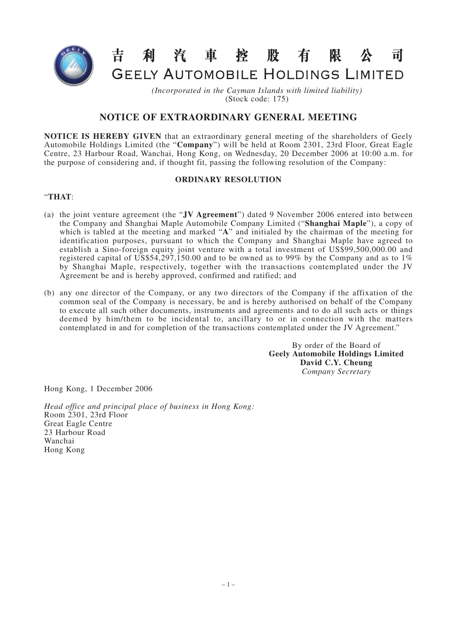

#### 昔 利汽車控股有限  $\overline{\mathbf{H}}$ **GEELY AUTOMOBILE HOLDINGS LIMITED**

*(Incorporated in the Cayman Islands with limited liability)*

(Stock code: 175)

# **NOTICE OF EXTRAORDINARY GENERAL MEETING**

**NOTICE IS HEREBY GIVEN** that an extraordinary general meeting of the shareholders of Geely Automobile Holdings Limited (the "**Company**") will be held at Room 2301, 23rd Floor, Great Eagle Centre, 23 Harbour Road, Wanchai, Hong Kong, on Wednesday, 20 December 2006 at 10:00 a.m. for the purpose of considering and, if thought fit, passing the following resolution of the Company:

## **ORDINARY RESOLUTION**

## "**THAT**:

- (a) the joint venture agreement (the "**JV Agreement**") dated 9 November 2006 entered into between the Company and Shanghai Maple Automobile Company Limited ("**Shanghai Maple**"), a copy of which is tabled at the meeting and marked "A" and initialed by the chairman of the meeting for identification purposes, pursuant to which the Company and Shanghai Maple have agreed to establish a Sino-foreign equity joint venture with a total investment of US\$99,500,000.00 and registered capital of US\$54,297,150.00 and to be owned as to 99% by the Company and as to 1% by Shanghai Maple, respectively, together with the transactions contemplated under the JV Agreement be and is hereby approved, confirmed and ratified; and
- (b) any one director of the Company, or any two directors of the Company if the affixation of the common seal of the Company is necessary, be and is hereby authorised on behalf of the Company to execute all such other documents, instruments and agreements and to do all such acts or things deemed by him/them to be incidental to, ancillary to or in connection with the matters contemplated in and for completion of the transactions contemplated under the JV Agreement."

By order of the Board of **Geely Automobile Holdings Limited David C.Y. Cheung** *Company Secretary*

Hong Kong, 1 December 2006

*Head office and principal place of business in Hong Kong:* Room 2301, 23rd Floor Great Eagle Centre 23 Harbour Road Wanchai Hong Kong